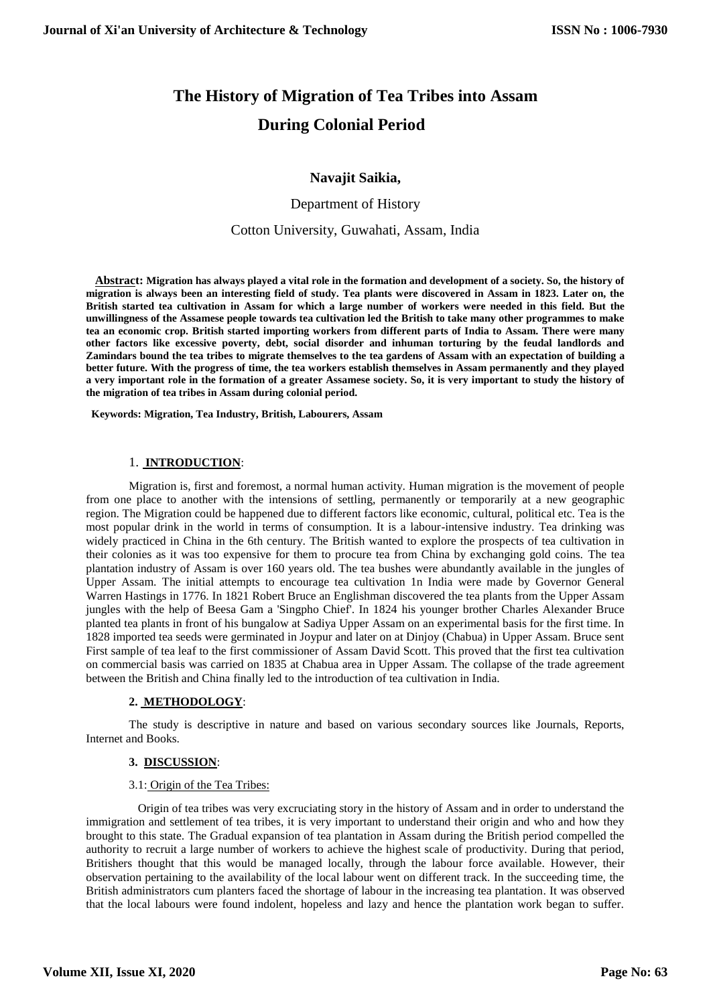# **The History of Migration of Tea Tribes into Assam During Colonial Period**

# **Navajit Saikia,**

Department of History

Cotton University, Guwahati, Assam, India

 **Abstract: Migration has always played a vital role in the formation and development of a society. So, the history of migration is always been an interesting field of study. Tea plants were discovered in Assam in 1823. Later on, the British started tea cultivation in Assam for which a large number of workers were needed in this field. But the unwillingness of the Assamese people towards tea cultivation led the British to take many other programmes to make tea an economic crop. British started importing workers from different parts of India to Assam. There were many other factors like excessive poverty, debt, social disorder and inhuman torturing by the feudal landlords and Zamindars bound the tea tribes to migrate themselves to the tea gardens of Assam with an expectation of building a better future. With the progress of time, the tea workers establish themselves in Assam permanently and they played a very important role in the formation of a greater Assamese society. So, it is very important to study the history of the migration of tea tribes in Assam during colonial period.** 

 **Keywords: Migration, Tea Industry, British, Labourers, Assam**

### 1. **INTRODUCTION**:

Migration is, first and foremost, a normal human activity. Human migration is the movement of people from one place to another with the intensions of settling, permanently or temporarily at a new geographic region. The Migration could be happened due to different factors like economic, cultural, political etc. Tea is the most popular drink in the world in terms of consumption. It is a labour-intensive industry. Tea drinking was widely practiced in China in the 6th century. The British wanted to explore the prospects of tea cultivation in their colonies as it was too expensive for them to procure tea from China by exchanging gold coins. The tea plantation industry of Assam is over 160 years old. The tea bushes were abundantly available in the jungles of Upper Assam. The initial attempts to encourage tea cultivation 1n India were made by Governor General Warren Hastings in 1776. In 1821 Robert Bruce an Englishman discovered the tea plants from the Upper Assam jungles with the help of Beesa Gam a 'Singpho Chief'. In 1824 his younger brother Charles Alexander Bruce planted tea plants in front of his bungalow at Sadiya Upper Assam on an experimental basis for the first time. In 1828 imported tea seeds were germinated in Joypur and later on at Dinjoy (Chabua) in Upper Assam. Bruce sent First sample of tea leaf to the first commissioner of Assam David Scott. This proved that the first tea cultivation on commercial basis was carried on 1835 at Chabua area in Upper Assam. The collapse of the trade agreement between the British and China finally led to the introduction of tea cultivation in India.

# **2. METHODOLOGY**:

The study is descriptive in nature and based on various secondary sources like Journals, Reports, Internet and Books.

# **3. DISCUSSION**:

#### 3.1: Origin of the Tea Tribes:

 Origin of tea tribes was very excruciating story in the history of Assam and in order to understand the immigration and settlement of tea tribes, it is very important to understand their origin and who and how they brought to this state. The Gradual expansion of tea plantation in Assam during the British period compelled the authority to recruit a large number of workers to achieve the highest scale of productivity. During that period, Britishers thought that this would be managed locally, through the labour force available. However, their observation pertaining to the availability of the local labour went on different track. In the succeeding time, the British administrators cum planters faced the shortage of labour in the increasing tea plantation. It was observed that the local labours were found indolent, hopeless and lazy and hence the plantation work began to suffer.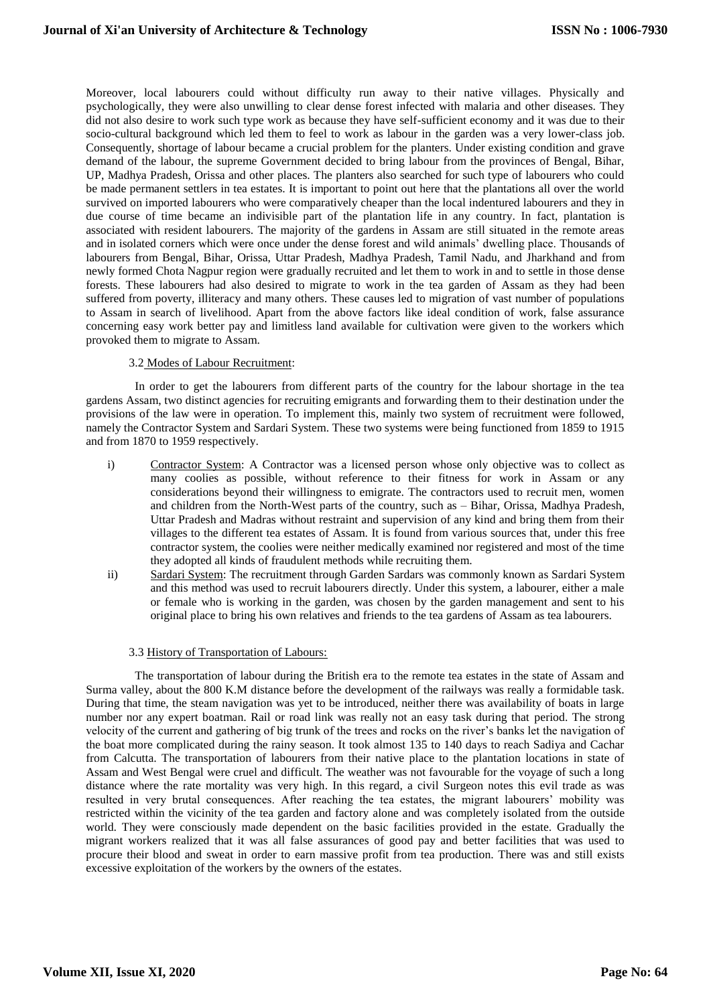Moreover, local labourers could without difficulty run away to their native villages. Physically and psychologically, they were also unwilling to clear dense forest infected with malaria and other diseases. They did not also desire to work such type work as because they have self-sufficient economy and it was due to their socio-cultural background which led them to feel to work as labour in the garden was a very lower-class job. Consequently, shortage of labour became a crucial problem for the planters. Under existing condition and grave demand of the labour, the supreme Government decided to bring labour from the provinces of Bengal, Bihar, UP, Madhya Pradesh, Orissa and other places. The planters also searched for such type of labourers who could be made permanent settlers in tea estates. It is important to point out here that the plantations all over the world survived on imported labourers who were comparatively cheaper than the local indentured labourers and they in due course of time became an indivisible part of the plantation life in any country. In fact, plantation is associated with resident labourers. The majority of the gardens in Assam are still situated in the remote areas and in isolated corners which were once under the dense forest and wild animals' dwelling place. Thousands of labourers from Bengal, Bihar, Orissa, Uttar Pradesh, Madhya Pradesh, Tamil Nadu, and Jharkhand and from newly formed Chota Nagpur region were gradually recruited and let them to work in and to settle in those dense forests. These labourers had also desired to migrate to work in the tea garden of Assam as they had been suffered from poverty, illiteracy and many others. These causes led to migration of vast number of populations to Assam in search of livelihood. Apart from the above factors like ideal condition of work, false assurance concerning easy work better pay and limitless land available for cultivation were given to the workers which provoked them to migrate to Assam.

# 3.2 Modes of Labour Recruitment:

 In order to get the labourers from different parts of the country for the labour shortage in the tea gardens Assam, two distinct agencies for recruiting emigrants and forwarding them to their destination under the provisions of the law were in operation. To implement this, mainly two system of recruitment were followed, namely the Contractor System and Sardari System. These two systems were being functioned from 1859 to 1915 and from 1870 to 1959 respectively.

- i) Contractor System: A Contractor was a licensed person whose only objective was to collect as many coolies as possible, without reference to their fitness for work in Assam or any considerations beyond their willingness to emigrate. The contractors used to recruit men, women and children from the North-West parts of the country, such as – Bihar, Orissa, Madhya Pradesh, Uttar Pradesh and Madras without restraint and supervision of any kind and bring them from their villages to the different tea estates of Assam. It is found from various sources that, under this free contractor system, the coolies were neither medically examined nor registered and most of the time they adopted all kinds of fraudulent methods while recruiting them.
- ii) Sardari System: The recruitment through Garden Sardars was commonly known as Sardari System and this method was used to recruit labourers directly. Under this system, a labourer, either a male or female who is working in the garden, was chosen by the garden management and sent to his original place to bring his own relatives and friends to the tea gardens of Assam as tea labourers.

#### 3.3 History of Transportation of Labours:

 The transportation of labour during the British era to the remote tea estates in the state of Assam and Surma valley, about the 800 K.M distance before the development of the railways was really a formidable task. During that time, the steam navigation was yet to be introduced, neither there was availability of boats in large number nor any expert boatman. Rail or road link was really not an easy task during that period. The strong velocity of the current and gathering of big trunk of the trees and rocks on the river's banks let the navigation of the boat more complicated during the rainy season. It took almost 135 to 140 days to reach Sadiya and Cachar from Calcutta. The transportation of labourers from their native place to the plantation locations in state of Assam and West Bengal were cruel and difficult. The weather was not favourable for the voyage of such a long distance where the rate mortality was very high. In this regard, a civil Surgeon notes this evil trade as was resulted in very brutal consequences. After reaching the tea estates, the migrant labourers' mobility was restricted within the vicinity of the tea garden and factory alone and was completely isolated from the outside world. They were consciously made dependent on the basic facilities provided in the estate. Gradually the migrant workers realized that it was all false assurances of good pay and better facilities that was used to procure their blood and sweat in order to earn massive profit from tea production. There was and still exists excessive exploitation of the workers by the owners of the estates.